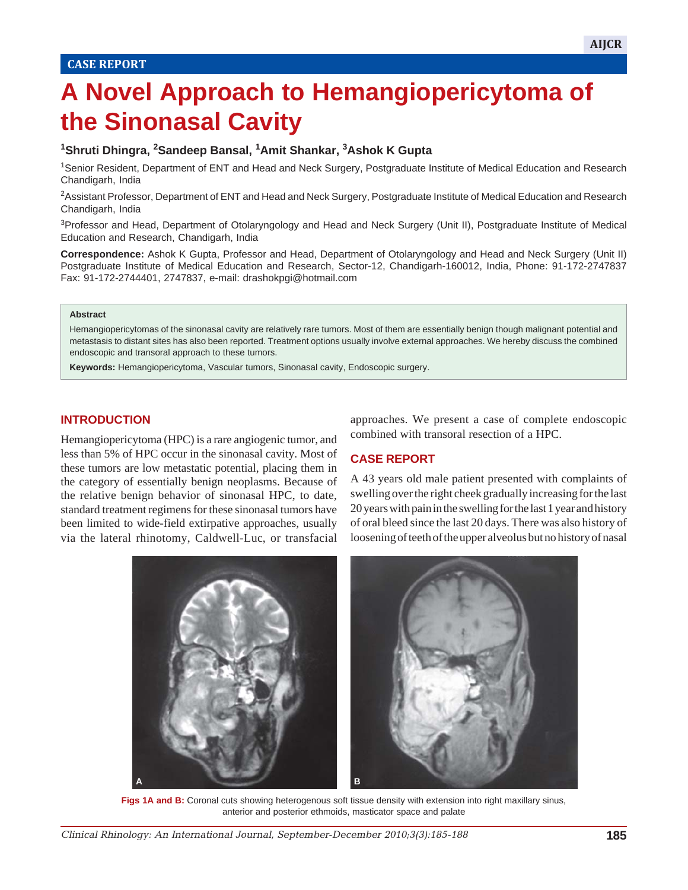# **A Novel Approach to Hemangiopericytoma of the Sinonasal Cavity**

## **1 Shruti Dhingra, 2 Sandeep Bansal, <sup>1</sup> Amit Shankar, 3 Ashok K Gupta**

1Senior Resident, Department of ENT and Head and Neck Surgery, Postgraduate Institute of Medical Education and Research Chandigarh, India

<sup>2</sup>Assistant Professor, Department of ENT and Head and Neck Surgery, Postgraduate Institute of Medical Education and Research Chandigarh, India

3Professor and Head, Department of Otolaryngology and Head and Neck Surgery (Unit II), Postgraduate Institute of Medical Education and Research, Chandigarh, India

**Correspondence:** Ashok K Gupta, Professor and Head, Department of Otolaryngology and Head and Neck Surgery (Unit II) Postgraduate Institute of Medical Education and Research, Sector-12, Chandigarh-160012, India, Phone: 91-172-2747837 Fax: 91-172-2744401, 2747837, e-mail: drashokpgi@hotmail.com

#### **Abstract**

Hemangiopericytomas of the sinonasal cavity are relatively rare tumors. Most of them are essentially benign though malignant potential and metastasis to distant sites has also been reported. Treatment options usually involve external approaches. We hereby discuss the combined endoscopic and transoral approach to these tumors.

**Keywords:** Hemangiopericytoma, Vascular tumors, Sinonasal cavity, Endoscopic surgery.

#### **INTRODUCTION**

Hemangiopericytoma (HPC) is a rare angiogenic tumor, and less than 5% of HPC occur in the sinonasal cavity. Most of these tumors are low metastatic potential, placing them in the category of essentially benign neoplasms. Because of the relative benign behavior of sinonasal HPC, to date, standard treatment regimens for these sinonasal tumors have been limited to wide-field extirpative approaches, usually via the lateral rhinotomy, Caldwell-Luc, or transfacial

approaches. We present a case of complete endoscopic combined with transoral resection of a HPC.

## **CASE REPORT**

A 43 years old male patient presented with complaints of swelling over the right cheek gradually increasing for the last 20 years with pain in the swelling for the last 1 year and history of oral bleed since the last 20 days. There was also history of loosening of teeth of the upper alveolus but no history of nasal



Figs 1A and B: Coronal cuts showing heterogenous soft tissue density with extension into right maxillary sinus, anterior and posterior ethmoids, masticator space and palate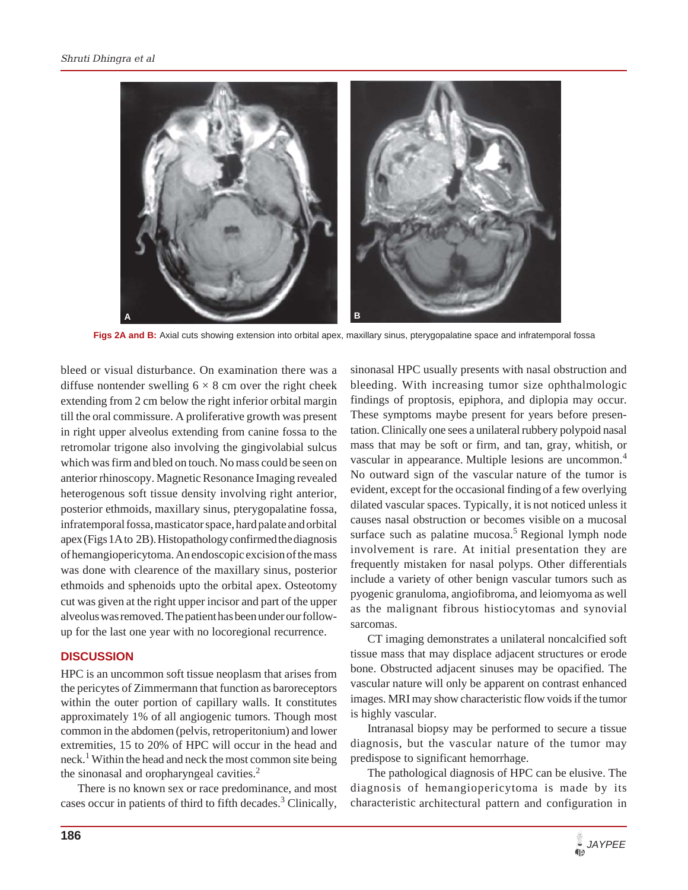

Figs 2A and B: Axial cuts showing extension into orbital apex, maxillary sinus, pterygopalatine space and infratemporal fossa

bleed or visual disturbance. On examination there was a diffuse nontender swelling  $6 \times 8$  cm over the right cheek extending from 2 cm below the right inferior orbital margin till the oral commissure. A proliferative growth was present in right upper alveolus extending from canine fossa to the retromolar trigone also involving the gingivolabial sulcus which was firm and bled on touch. No mass could be seen on anterior rhinoscopy. Magnetic Resonance Imaging revealed heterogenous soft tissue density involving right anterior, posterior ethmoids, maxillary sinus, pterygopalatine fossa, infratemporal fossa, masticator space, hard palate and orbital apex (Figs 1A to 2B). Histopathology confirmed the diagnosis of hemangiopericytoma. An endoscopic excision of the mass was done with clearence of the maxillary sinus, posterior ethmoids and sphenoids upto the orbital apex. Osteotomy cut was given at the right upper incisor and part of the upper alveolus was removed. The patient has been under our followup for the last one year with no locoregional recurrence.

#### **DISCUSSION**

HPC is an uncommon soft tissue neoplasm that arises from the pericytes of Zimmermann that function as baroreceptors within the outer portion of capillary walls. It constitutes approximately 1% of all angiogenic tumors. Though most common in the abdomen (pelvis, retroperitonium) and lower extremities, 15 to 20% of HPC will occur in the head and neck.<sup>1</sup> Within the head and neck the most common site being the sinonasal and oropharyngeal cavities.<sup>2</sup>

There is no known sex or race predominance, and most cases occur in patients of third to fifth decades.<sup>3</sup> Clinically,

sinonasal HPC usually presents with nasal obstruction and bleeding. With increasing tumor size ophthalmologic findings of proptosis, epiphora, and diplopia may occur. These symptoms maybe present for years before presentation. Clinically one sees a unilateral rubbery polypoid nasal mass that may be soft or firm, and tan, gray, whitish, or vascular in appearance. Multiple lesions are uncommon.<sup>4</sup> No outward sign of the vascular nature of the tumor is evident, except for the occasional finding of a few overlying dilated vascular spaces. Typically, it is not noticed unless it causes nasal obstruction or becomes visible on a mucosal surface such as palatine mucosa.<sup>5</sup> Regional lymph node involvement is rare. At initial presentation they are frequently mistaken for nasal polyps. Other differentials include a variety of other benign vascular tumors such as pyogenic granuloma, angiofibroma, and leiomyoma as well as the malignant fibrous histiocytomas and synovial sarcomas.

CT imaging demonstrates a unilateral noncalcified soft tissue mass that may displace adjacent structures or erode bone. Obstructed adjacent sinuses may be opacified. The vascular nature will only be apparent on contrast enhanced images. MRI may show characteristic flow voids if the tumor is highly vascular.

Intranasal biopsy may be performed to secure a tissue diagnosis, but the vascular nature of the tumor may predispose to significant hemorrhage.

The pathological diagnosis of HPC can be elusive. The diagnosis of hemangiopericytoma is made by its characteristic architectural pattern and configuration in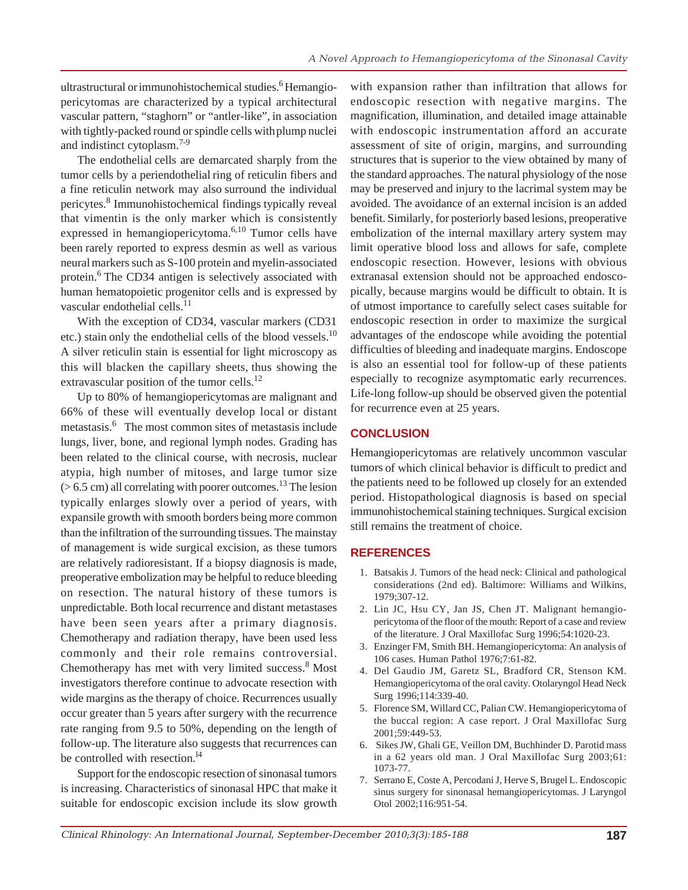ultrastructural orimmunohistochemical studies.<sup>6</sup> Hemangiopericytomas are characterized by a typical architectural vascular pattern, "staghorn" or "antler-like", in association with tightly-packed round or spindle cells withplump nuclei and indistinct cytoplasm.7-9

The endothelial cells are demarcated sharply from the tumor cells by a periendothelial ring of reticulin fibers and a fine reticulin network may also surround the individual pericytes.<sup>8</sup> Immunohistochemical findings typically reveal that vimentin is the only marker which is consistently expressed in hemangiopericytoma.6,10 Tumor cells have been rarely reported to express desmin as well as various neuralmarkers such as S-100 protein and myelin-associated protein.<sup>6</sup> The CD34 antigen is selectively associated with human hematopoietic progenitor cells and is expressed by vascular endothelial cells. $^{11}$ 

With the exception of CD34, vascular markers (CD31 etc.) stain only the endothelial cells of the blood vessels.<sup>10</sup> A silver reticulin stain is essential for light microscopy as this will blacken the capillary sheets, thus showing the extravascular position of the tumor cells.<sup>12</sup>

Up to 80% of hemangiopericytomas are malignant and 66% of these will eventually develop local or distant metastasis.<sup>6</sup> The most common sites of metastasis include lungs, liver, bone, and regional lymph nodes. Grading has been related to the clinical course, with necrosis, nuclear atypia, high number of mitoses, and large tumor size  $(> 6.5 \text{ cm})$  all correlating with poorer outcomes.<sup>13</sup> The lesion typically enlarges slowly over a period of years, with expansile growth with smooth borders being more common than the infiltration of the surrounding tissues. The mainstay of management is wide surgical excision, as these tumors are relatively radioresistant. If a biopsy diagnosis is made, preoperative embolization may be helpful to reduce bleeding on resection. The natural history of these tumors is unpredictable. Both local recurrence and distant metastases have been seen years after a primary diagnosis. Chemotherapy and radiation therapy, have been used less commonly and their role remains controversial. Chemotherapy has met with very limited success.8 Most investigators therefore continue to advocate resection with wide margins as the therapy of choice. Recurrences usually occur greater than 5 years after surgery with the recurrence rate ranging from 9.5 to 50%, depending on the length of follow-up. The literature also suggests that recurrences can be controlled with resection.<sup>14</sup>

Support for the endoscopic resection of sinonasal tumors is increasing. Characteristics of sinonasal HPC that make it suitable for endoscopic excision include its slow growth

with expansion rather than infiltration that allows for endoscopic resection with negative margins. The magnification, illumination, and detailed image attainable with endoscopic instrumentation afford an accurate assessment of site of origin, margins, and surrounding structures that is superior to the view obtained by many of the standard approaches. The natural physiology of the nose may be preserved and injury to the lacrimal system may be avoided. The avoidance of an external incision is an added benefit. Similarly, for posteriorly based lesions, preoperative embolization of the internal maxillary artery system may limit operative blood loss and allows for safe, complete endoscopic resection. However, lesions with obvious extranasal extension should not be approached endoscopically, because margins would be difficult to obtain. It is of utmost importance to carefully select cases suitable for endoscopic resection in order to maximize the surgical advantages of the endoscope while avoiding the potential difficulties of bleeding and inadequate margins. Endoscope is also an essential tool for follow-up of these patients especially to recognize asymptomatic early recurrences. Life-long follow-up should be observed given the potential for recurrence even at 25 years.

# **CONCLUSION**

Hemangiopericytomas are relatively uncommon vascular tumors of which clinical behavior is difficult to predict and the patients need to be followed up closely for an extended period. Histopathological diagnosis is based on special immunohistochemical staining techniques. Surgical excision still remains the treatment of choice.

## **REFERENCES**

- 1. Batsakis J. Tumors of the head neck: Clinical and pathological considerations (2nd ed). Baltimore: Williams and Wilkins, 1979;307-12.
- 2. Lin JC, Hsu CY, Jan JS, Chen JT. Malignant hemangiopericytoma of the floor of the mouth: Report of a case and review of the literature. J Oral Maxillofac Surg 1996;54:1020-23.
- 3. Enzinger FM, Smith BH. Hemangiopericytoma: An analysis of 106 cases. Human Pathol 1976;7:61-82.
- 4. Del Gaudio JM, Garetz SL, Bradford CR, Stenson KM. Hemangiopericytoma of the oral cavity. Otolaryngol Head Neck Surg 1996;114:339-40.
- 5. Florence SM, Willard CC, Palian CW. Hemangiopericytoma of the buccal region: A case report. J Oral Maxillofac Surg 2001;59:449-53.
- 6. Sikes JW, Ghali GE, Veillon DM, Buchhinder D. Parotid mass in a 62 years old man. J Oral Maxillofac Surg 2003;61: 1073-77.
- 7. Serrano E, Coste A, Percodani J, Herve S, Brugel L. Endoscopic sinus surgery for sinonasal hemangiopericytomas. J Laryngol Otol 2002;116:951-54.